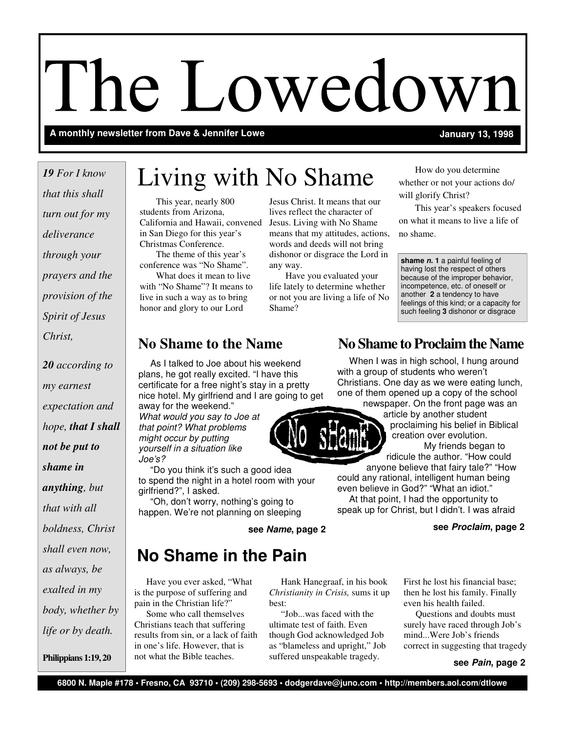# The Lowedown

A monthly newsletter from Dave & Jennifer Lowe **A monthly and Solution 1998** January 13, 1998

*that this shall turn out for my deliverance through your prayers and the provision of the Spirit of Jesus Christ,* 

*20 according to my earnest expectation and hope, that I shall not be put to shame in anything, but that with all boldness, Christ shall even now, as always, be exalted in my body, whether by life or by death.*

**Philippians 1:19, 20** 

# Living with No Shame *<sup>19</sup> For I know*

 This year, nearly 800 students from Arizona, California and Hawaii, convened in San Diego for this year's Christmas Conference.

 The theme of this year's conference was "No Shame".

 What does it mean to live with "No Shame"? It means to live in such a way as to bring honor and glory to our Lord

Jesus Christ. It means that our lives reflect the character of Jesus. Living with No Shame means that my attitudes, actions, words and deeds will not bring dishonor or disgrace the Lord in any way.

 Have you evaluated your life lately to determine whether or not you are living a life of No Shame?

 How do you determine whether or not your actions do/ will glorify Christ?

 This year's speakers focused on what it means to live a life of no shame.

**shame n. 1** a painful feeling of having lost the respect of others because of the improper behavior, incompetence, etc. of oneself or another **2** a tendency to have feelings of this kind; or a capacity for such feeling **3** dishonor or disgrace

 As I talked to Joe about his weekend plans, he got really excited. "I have this certificate for a free night's stay in a pretty nice hotel. My girlfriend and I are going to get

away for the weekend." What would you say to Joe at that point? What problems might occur by putting yourself in a situation like Joe's?

"Do you think it's such a good idea to spend the night in a hotel room with your girlfriend?", I asked.

 "Oh, don't worry, nothing's going to happen. We're not planning on sleeping

# **No Shame in the Pain**

 Have you ever asked, "What is the purpose of suffering and pain in the Christian life?"

 Some who call themselves Christians teach that suffering results from sin, or a lack of faith in one's life. However, that is not what the Bible teaches.

 Hank Hanegraaf, in his book *Christianity in Crisis,* sums it up best:

 "Job...was faced with the ultimate test of faith. Even though God acknowledged Job as "blameless and upright," Job suffered unspeakable tragedy.

# **No Shame to the Name 12 No Shame to Proclaim the Name**

When I was in high school, I hung around with a group of students who weren't Christians. One day as we were eating lunch, one of them opened up a copy of the school

newspaper. On the front page was an article by another student

> proclaiming his belief in Biblical creation over evolution. My friends began to

ridicule the author. "How could anyone believe that fairy tale?" "How

could any rational, intelligent human being even believe in God?" "What an idiot." At that point, I had the opportunity to

speak up for Christ, but I didn't. I was afraid

**see Name, page 2 see Proclaim, page 2** 

First he lost his financial base; then he lost his family. Finally even his health failed.

 Questions and doubts must surely have raced through Job's mind...Were Job's friends correct in suggesting that tragedy

**see Pain, page 2** 

**6800 N. Maple #178 • Fresno, CA 93710 • (209) 298-5693 • dodgerdave@juno.com • http://members.aol.com/dtlowe**